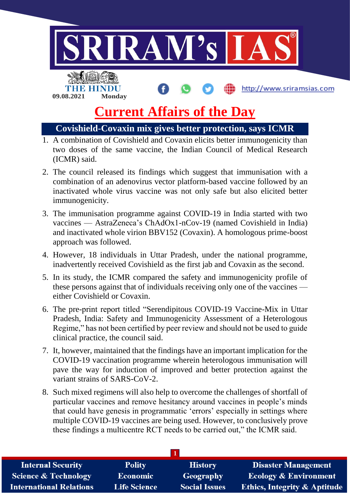

# **Covishield-Covaxin mix gives better protection, says ICMR**

- 1. A combination of Covishield and Covaxin elicits better immunogenicity than two doses of the same vaccine, the Indian Council of Medical Research (ICMR) said.
- 2. The council released its findings which suggest that immunisation with a combination of an adenovirus vector platform-based vaccine followed by an inactivated whole virus vaccine was not only safe but also elicited better immunogenicity.
- 3. The immunisation programme against COVID-19 in India started with two vaccines — AstraZeneca's ChAdOx1-nCov-19 (named Covishield in India) and inactivated whole virion BBV152 (Covaxin). A homologous prime-boost approach was followed.
- 4. However, 18 individuals in Uttar Pradesh, under the national programme, inadvertently received Covishield as the first jab and Covaxin as the second.
- 5. In its study, the ICMR compared the safety and immunogenicity profile of these persons against that of individuals receiving only one of the vaccines either Covishield or Covaxin.
- 6. The pre-print report titled "Serendipitous COVID-19 Vaccine-Mix in Uttar Pradesh, India: Safety and Immunogenicity Assessment of a Heterologous Regime," has not been certified by peer review and should not be used to guide clinical practice, the council said.
- 7. It, however, maintained that the findings have an important implication for the COVID-19 vaccination programme wherein heterologous immunisation will pave the way for induction of improved and better protection against the variant strains of SARS-CoV-2.
- 8. Such mixed regimens will also help to overcome the challenges of shortfall of particular vaccines and remove hesitancy around vaccines in people's minds that could have genesis in programmatic 'errors' especially in settings where multiple COVID-19 vaccines are being used. However, to conclusively prove these findings a multicentre RCT needs to be carried out," the ICMR said.

| <b>Internal Security</b>        | <b>Polity</b>       | <b>History</b>       | <b>Disaster Management</b>              |
|---------------------------------|---------------------|----------------------|-----------------------------------------|
| <b>Science &amp; Technology</b> | <b>Economic</b>     | Geography            | <b>Ecology &amp; Environment</b>        |
| <b>International Relations</b>  | <b>Life Science</b> | <b>Social Issues</b> | <b>Ethics, Integrity &amp; Aptitude</b> |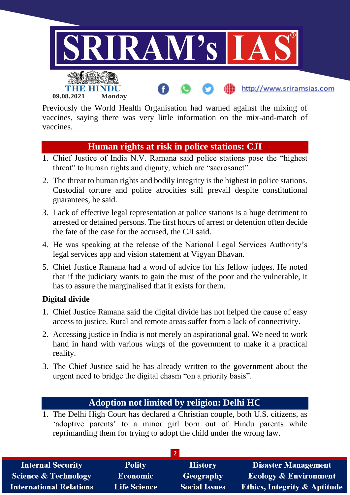

Previously the World Health Organisation had warned against the mixing of vaccines, saying there was very little information on the mix-and-match of vaccines.

## **Human rights at risk in police stations: CJI**

- 1. Chief Justice of India N.V. Ramana said police stations pose the "highest threat" to human rights and dignity, which are "sacrosanct".
- 2. The threat to human rights and bodily integrity is the highest in police stations. Custodial torture and police atrocities still prevail despite constitutional guarantees, he said.
- 3. Lack of effective legal representation at police stations is a huge detriment to arrested or detained persons. The first hours of arrest or detention often decide the fate of the case for the accused, the CJI said.
- 4. He was speaking at the release of the National Legal Services Authority's legal services app and vision statement at Vigyan Bhavan.
- 5. Chief Justice Ramana had a word of advice for his fellow judges. He noted that if the judiciary wants to gain the trust of the poor and the vulnerable, it has to assure the marginalised that it exists for them.

## **Digital divide**

- 1. Chief Justice Ramana said the digital divide has not helped the cause of easy access to justice. Rural and remote areas suffer from a lack of connectivity.
- 2. Accessing justice in India is not merely an aspirational goal. We need to work hand in hand with various wings of the government to make it a practical reality.
- 3. The Chief Justice said he has already written to the government about the urgent need to bridge the digital chasm "on a priority basis".

# **Adoption not limited by religion: Delhi HC**

1. The Delhi High Court has declared a Christian couple, both U.S. citizens, as 'adoptive parents' to a minor girl born out of Hindu parents while reprimanding them for trying to adopt the child under the wrong law.

| <b>Internal Security</b>        | <b>Polity</b>       | <b>History</b>       | <b>Disaster Management</b>              |
|---------------------------------|---------------------|----------------------|-----------------------------------------|
| <b>Science &amp; Technology</b> | <b>Economic</b>     | Geography            | <b>Ecology &amp; Environment</b>        |
| <b>International Relations</b>  | <b>Life Science</b> | <b>Social Issues</b> | <b>Ethics, Integrity &amp; Aptitude</b> |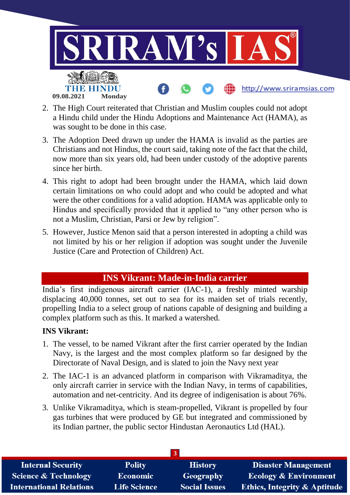

- 2. The High Court reiterated that Christian and Muslim couples could not adopt a Hindu child under the Hindu Adoptions and Maintenance Act (HAMA), as was sought to be done in this case.
- 3. The Adoption Deed drawn up under the HAMA is invalid as the parties are Christians and not Hindus, the court said, taking note of the fact that the child, now more than six years old, had been under custody of the adoptive parents since her birth.
- 4. This right to adopt had been brought under the HAMA, which laid down certain limitations on who could adopt and who could be adopted and what were the other conditions for a valid adoption. HAMA was applicable only to Hindus and specifically provided that it applied to "any other person who is not a Muslim, Christian, Parsi or Jew by religion".
- 5. However, Justice Menon said that a person interested in adopting a child was not limited by his or her religion if adoption was sought under the Juvenile Justice (Care and Protection of Children) Act.

## **INS Vikrant: Made-in-India carrier**

India's first indigenous aircraft carrier (IAC-1), a freshly minted warship displacing 40,000 tonnes, set out to sea for its maiden set of trials recently, propelling India to a select group of nations capable of designing and building a complex platform such as this. It marked a watershed.

## **INS Vikrant:**

- 1. The vessel, to be named Vikrant after the first carrier operated by the Indian Navy, is the largest and the most complex platform so far designed by the Directorate of Naval Design, and is slated to join the Navy next year
- 2. The IAC-1 is an advanced platform in comparison with Vikramaditya, the only aircraft carrier in service with the Indian Navy, in terms of capabilities, automation and net-centricity. And its degree of indigenisation is about 76%.
- 3. Unlike Vikramaditya, which is steam-propelled, Vikrant is propelled by four gas turbines that were produced by GE but integrated and commissioned by its Indian partner, the public sector Hindustan Aeronautics Ltd (HAL).

| <b>Internal Security</b>        | <b>Polity</b>       | <b>History</b>       | <b>Disaster Management</b>              |
|---------------------------------|---------------------|----------------------|-----------------------------------------|
| <b>Science &amp; Technology</b> | <b>Economic</b>     | <b>Geography</b>     | <b>Ecology &amp; Environment</b>        |
| <b>International Relations</b>  | <b>Life Science</b> | <b>Social Issues</b> | <b>Ethics, Integrity &amp; Aptitude</b> |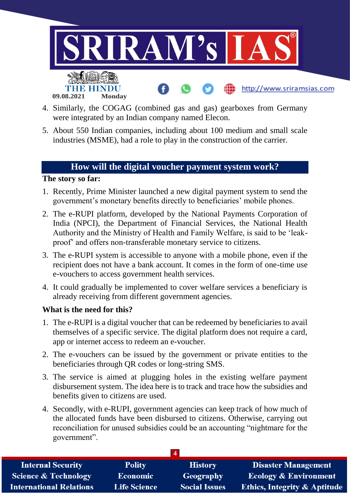

- 4. Similarly, the COGAG (combined gas and gas) gearboxes from Germany were integrated by an Indian company named Elecon.
- 5. About 550 Indian companies, including about 100 medium and small scale industries (MSME), had a role to play in the construction of the carrier.

# **How will the digital voucher payment system work?**

#### **The story so far:**

- 1. Recently, Prime Minister launched a new digital payment system to send the government's monetary benefits directly to beneficiaries' mobile phones.
- 2. The e-RUPI platform, developed by the National Payments Corporation of India (NPCI), the Department of Financial Services, the National Health Authority and the Ministry of Health and Family Welfare, is said to be 'leakproof' and offers non-transferable monetary service to citizens.
- 3. The e-RUPI system is accessible to anyone with a mobile phone, even if the recipient does not have a bank account. It comes in the form of one-time use e-vouchers to access government health services.
- 4. It could gradually be implemented to cover welfare services a beneficiary is already receiving from different government agencies.

#### **What is the need for this?**

- 1. The e-RUPI is a digital voucher that can be redeemed by beneficiaries to avail themselves of a specific service. The digital platform does not require a card, app or internet access to redeem an e-voucher.
- 2. The e-vouchers can be issued by the government or private entities to the beneficiaries through QR codes or long-string SMS.
- 3. The service is aimed at plugging holes in the existing welfare payment disbursement system. The idea here is to track and trace how the subsidies and benefits given to citizens are used.
- 4. Secondly, with e-RUPI, government agencies can keep track of how much of the allocated funds have been disbursed to citizens. Otherwise, carrying out reconciliation for unused subsidies could be an accounting "nightmare for the government".

| <b>Internal Security</b>        | <b>Polity</b>       | <b>History</b>       | <b>Disaster Management</b>              |
|---------------------------------|---------------------|----------------------|-----------------------------------------|
| <b>Science &amp; Technology</b> | <b>Economic</b>     | <b>Geography</b>     | <b>Ecology &amp; Environment</b>        |
| <b>International Relations</b>  | <b>Life Science</b> | <b>Social Issues</b> | <b>Ethics, Integrity &amp; Aptitude</b> |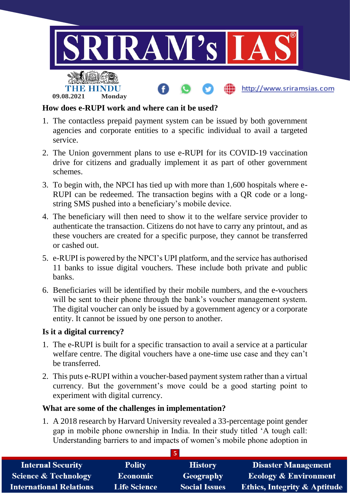

### **How does e-RUPI work and where can it be used?**

- 1. The contactless prepaid payment system can be issued by both government agencies and corporate entities to a specific individual to avail a targeted service.
- 2. The Union government plans to use e-RUPI for its COVID-19 vaccination drive for citizens and gradually implement it as part of other government schemes.
- 3. To begin with, the NPCI has tied up with more than 1,600 hospitals where e-RUPI can be redeemed. The transaction begins with a QR code or a longstring SMS pushed into a beneficiary's mobile device.
- 4. The beneficiary will then need to show it to the welfare service provider to authenticate the transaction. Citizens do not have to carry any printout, and as these vouchers are created for a specific purpose, they cannot be transferred or cashed out.
- 5. e-RUPI is powered by the NPCI's UPI platform, and the service has authorised 11 banks to issue digital vouchers. These include both private and public banks.
- 6. Beneficiaries will be identified by their mobile numbers, and the e-vouchers will be sent to their phone through the bank's voucher management system. The digital voucher can only be issued by a government agency or a corporate entity. It cannot be issued by one person to another.

#### **Is it a digital currency?**

- 1. The e-RUPI is built for a specific transaction to avail a service at a particular welfare centre. The digital vouchers have a one-time use case and they can't be transferred.
- 2. This puts e-RUPI within a voucher-based payment system rather than a virtual currency. But the government's move could be a good starting point to experiment with digital currency.

#### **What are some of the challenges in implementation?**

1. A 2018 research by Harvard University revealed a 33-percentage point gender gap in mobile phone ownership in India. In their study titled 'A tough call: Understanding barriers to and impacts of women's mobile phone adoption in

| <b>Internal Security</b>        | <b>Polity</b>       | <b>History</b>       | <b>Disaster Management</b>              |
|---------------------------------|---------------------|----------------------|-----------------------------------------|
| <b>Science &amp; Technology</b> | Economic            | <b>Geography</b>     | <b>Ecology &amp; Environment</b>        |
| <b>International Relations</b>  | <b>Life Science</b> | <b>Social Issues</b> | <b>Ethics, Integrity &amp; Aptitude</b> |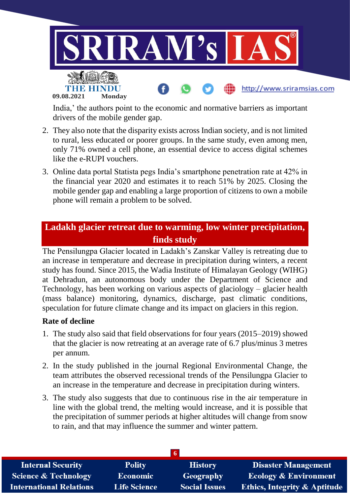

India,' the authors point to the economic and normative barriers as important drivers of the mobile gender gap.

- 2. They also note that the disparity exists across Indian society, and is not limited to rural, less educated or poorer groups. In the same study, even among men, only 71% owned a cell phone, an essential device to access digital schemes like the e-RUPI vouchers.
- 3. Online data portal Statista pegs India's smartphone penetration rate at 42% in the financial year 2020 and estimates it to reach 51% by 2025. Closing the mobile gender gap and enabling a large proportion of citizens to own a mobile phone will remain a problem to be solved.

# **Ladakh glacier retreat due to warming, low winter precipitation, finds study**

The Pensilungpa Glacier located in Ladakh's Zanskar Valley is retreating due to an increase in temperature and decrease in precipitation during winters, a recent study has found. Since 2015, the Wadia Institute of Himalayan Geology (WIHG) at Dehradun, an autonomous body under the Department of Science and Technology, has been working on various aspects of glaciology – glacier health (mass balance) monitoring, dynamics, discharge, past climatic conditions, speculation for future climate change and its impact on glaciers in this region.

#### **Rate of decline**

- 1. The study also said that field observations for four years (2015–2019) showed that the glacier is now retreating at an average rate of 6.7 plus/minus 3 metres per annum.
- 2. In the study published in the journal Regional Environmental Change, the team attributes the observed recessional trends of the Pensilungpa Glacier to an increase in the temperature and decrease in precipitation during winters.
- 3. The study also suggests that due to continuous rise in the air temperature in line with the global trend, the melting would increase, and it is possible that the precipitation of summer periods at higher altitudes will change from snow to rain, and that may influence the summer and winter pattern.

| <b>Internal Security</b>        | <b>Polity</b>       | <b>History</b>       | <b>Disaster Management</b>              |
|---------------------------------|---------------------|----------------------|-----------------------------------------|
| <b>Science &amp; Technology</b> | <b>Economic</b>     | Geography            | <b>Ecology &amp; Environment</b>        |
| <b>International Relations</b>  | <b>Life Science</b> | <b>Social Issues</b> | <b>Ethics, Integrity &amp; Aptitude</b> |